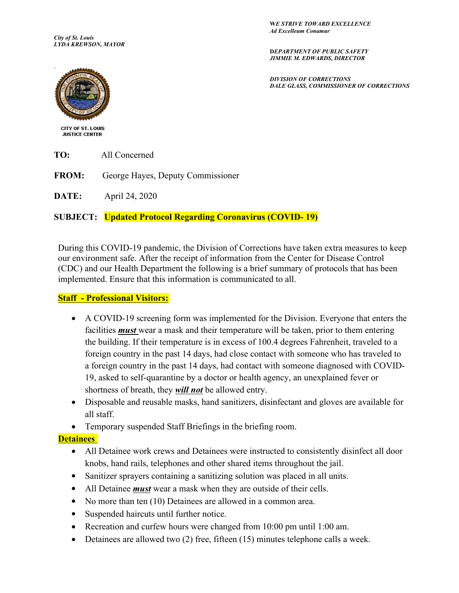**W***E STRIVE TOWARD EXCELLENCE Ad Excelleum Conamur*

*City of St. Louis LYDA KREWSON, MAYOR* 

**D***EPARTMENT OF PUBLIC SAFETY JIMMIE M. EDWARDS, DIRECTOR*

*DIVISION OF CORRECTIONS DALE GLASS, COMMISSIONER OF CORRECTIONS*



**CITY OF ST. LOUIS JUSTICE CENTER** 

**TO:** All Concerned

**FROM:** George Hayes, Deputy Commissioner

**DATE:** April 24, 2020

## **SUBJECT: Updated Protocol Regarding Coronavirus (COVID- 19)**

During this COVID-19 pandemic, the Division of Corrections have taken extra measures to keep our environment safe. After the receipt of information from the Center for Disease Control (CDC) and our Health Department the following is a brief summary of protocols that has been implemented. Ensure that this information is communicated to all.

## **Staff - Professional Visitors:**

- A COVID-19 screening form was implemented for the Division. Everyone that enters the facilities *must* wear a mask and their temperature will be taken, prior to them entering the building. If their temperature is in excess of 100.4 degrees Fahrenheit, traveled to a foreign country in the past 14 days, had close contact with someone who has traveled to a foreign country in the past 14 days, had contact with someone diagnosed with COVID-19, asked to self-quarantine by a doctor or health agency, an unexplained fever or shortness of breath, they *will not* be allowed entry.
- Disposable and reusable masks, hand sanitizers, disinfectant and gloves are available for all staff.
- Temporary suspended Staff Briefings in the briefing room.

## **Detainees**

- All Detainee work crews and Detainees were instructed to consistently disinfect all door knobs, hand rails, telephones and other shared items throughout the jail.
- Sanitizer sprayers containing a sanitizing solution was placed in all units.
- All Detainee *must* wear a mask when they are outside of their cells.
- No more than ten (10) Detainees are allowed in a common area.
- Suspended haircuts until further notice.
- Recreation and curfew hours were changed from 10:00 pm until 1:00 am.
- Detainees are allowed two (2) free, fifteen (15) minutes telephone calls a week.